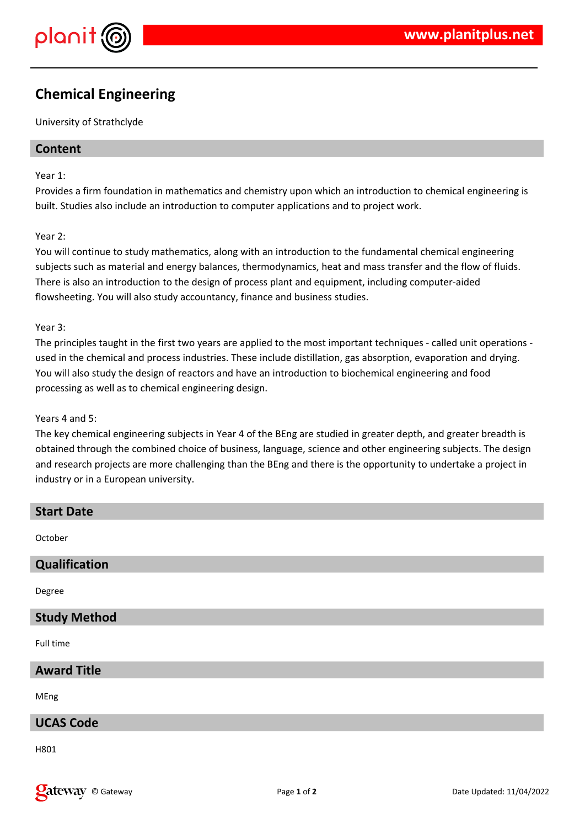

## **Chemical Engineering**

University of Strathclyde

## **Content**

#### Year 1:

Provides a firm foundation in mathematics and chemistry upon which an introduction to chemical engineering is built. Studies also include an introduction to computer applications and to project work.

#### Year 2:

You will continue to study mathematics, along with an introduction to the fundamental chemical engineering subjects such as material and energy balances, thermodynamics, heat and mass transfer and the flow of fluids. There is also an introduction to the design of process plant and equipment, including computer-aided flowsheeting. You will also study accountancy, finance and business studies.

#### Year 3:

The principles taught in the first two years are applied to the most important techniques - called unit operations used in the chemical and process industries. These include distillation, gas absorption, evaporation and drying. You will also study the design of reactors and have an introduction to biochemical engineering and food processing as well as to chemical engineering design.

#### Years 4 and 5:

The key chemical engineering subjects in Year 4 of the BEng are studied in greater depth, and greater breadth is obtained through the combined choice of business, language, science and other engineering subjects. The design and research projects are more challenging than the BEng and there is the opportunity to undertake a project in industry or in a European university.

| <b>Start Date</b>   |
|---------------------|
| October             |
| Qualification       |
| Degree              |
| <b>Study Method</b> |
| Full time           |
| <b>Award Title</b>  |
| MEng                |
| <b>UCAS Code</b>    |
| 11001               |

H801